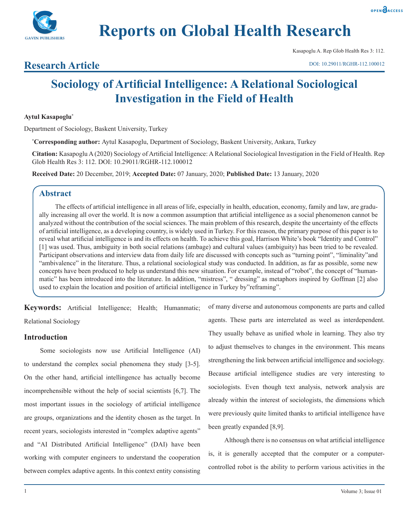



Kasapoglu A. Rep Glob Health Res 3: 112.

#### DOI: 10.29011/RGHR-112.100012

## **Research Article**

# **Sociology of Artificial Intelligence: A Relational Sociological Investigation in the Field of Health**

### **Aytul Kasapoglu\***

Department of Sociology, Baskent University, Turkey

**\* Corresponding author:** Aytul Kasapoglu, Department of Sociology, Baskent University, Ankara, Turkey

**Citation:** Kasapoglu A (2020) Sociology of Artificial Intelligence: A Relational Sociological Investigation in the Field of Health. Rep Glob Health Res 3: 112. DOI: 10.29011/RGHR-112.100012

**Received Date:** 20 December, 2019; **Accepted Date:** 07 January, 2020; **Published Date:** 13 January, 2020

## **Abstract**

The effects of artificial intelligence in all areas of life, especially in health, education, economy, family and law, are gradually increasing all over the world. It is now a common assumption that artificial intelligence as a social phenomenon cannot be analyzed without the contribution of the social sciences. The main problem of this research, despite the uncertainty of the effects of artificial intelligence, as a developing country, is widely used in Turkey. For this reason, the primary purpose of this paper is to reveal what artificial intelligence is and its effects on health. To achieve this goal, Harrison White's book "Identity and Control" [1] was used. Thus, ambiguity in both social relations (ambage) and cultural values (ambiguity) has been tried to be revealed. Participant observations and interview data from daily life are discussed with concepts such as "turning point", "liminality"and "ambivalence" in the literature. Thus, a relational sociological study was conducted. In addition, as far as possible, some new concepts have been produced to help us understand this new situation. For example, instead of "robot", the concept of "humanmatic" has been introduced into the literature. In addition, "mistress", " dressing" as metaphors inspired by Goffman [2] also used to explain the location and position of artificial intelligence in Turkey by"reframing".

**Keywords:** Artificial Intelligence; Health; Humanmatic; Relational Sociology

## **Introduction**

Some sociologists now use Artificial Intelligence (AI) to understand the complex social phenomena they study [3-5]. On the other hand, artificial intellingence has actually become incomprehensible without the help of social scientists [6,7]. The most important issues in the sociology of artificial intelligence are groups, organizations and the identity chosen as the target. In recent years, sociologists interested in "complex adaptive agents" and "AI Distributed Artificial Intelligence" (DAI) have been working with computer engineers to understand the cooperation between complex adaptive agents. In this context entity consisting of many diverse and autonomous components are parts and called agents. These parts are interrelated as weel as interdependent. They usually behave as unified whole in learning. They also try to adjust themselves to changes in the environment. This means strengthening the link between artificial intelligence and sociology. Because artificial intelligence studies are very interesting to sociologists. Even though text analysis, network analysis are already within the interest of sociologists, the dimensions which were previously quite limited thanks to artificial intelligence have been greatly expanded [8,9].

Although there is no consensus on what artificial intelligence is, it is generally accepted that the computer or a computercontrolled robot is the ability to perform various activities in the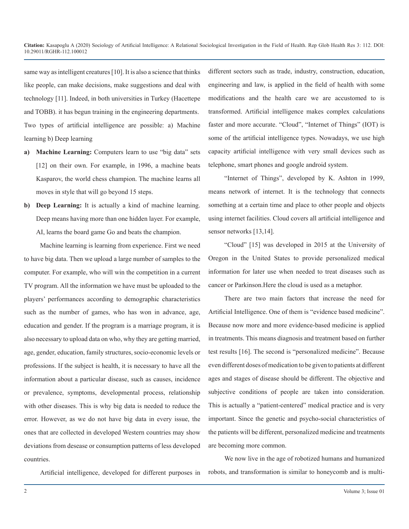same way as intelligent creatures [10]. It is also a science that thinks like people, can make decisions, make suggestions and deal with technology [11]. Indeed, in both universities in Turkey (Hacettepe and TOBB). it has begun training in the engineering departments. Two types of artificial intelligence are possible: a) Machine learning b) Deep learning

- **a) Machine Learning:** Computers learn to use "big data" sets [12] on their own. For example, in 1996, a machine beats Kasparov, the world chess champion. The machine learns all moves in style that will go beyond 15 steps.
- **b) Deep Learning:** It is actually a kind of machine learning. Deep means having more than one hidden layer. For example, AI, learns the board game Go and beats the champion.

Machine learning is learning from experience. First we need to have big data. Then we upload a large number of samples to the computer. For example, who will win the competition in a current TV program. All the information we have must be uploaded to the players' performances according to demographic characteristics such as the number of games, who has won in advance, age, education and gender. If the program is a marriage program, it is also necessary to upload data on who, why they are getting married, age, gender, education, family structures, socio-economic levels or professions. If the subject is health, it is necessary to have all the information about a particular disease, such as causes, incidence or prevalence, symptoms, developmental process, relationship with other diseases. This is why big data is needed to reduce the error. However, as we do not have big data in every issue, the ones that are collected in developed Western countries may show deviations from desease or consumption patterns of less developed countries.

Artificial intelligence, developed for different purposes in

different sectors such as trade, industry, construction, education, engineering and law, is applied in the field of health with some modifications and the health care we are accustomed to is transformed. Artificial intelligence makes complex calculations faster and more accurate. "Cloud", "Internet of Things" (IOT) is some of the artificial intelligence types. Nowadays, we use high capacity artificial intelligence with very small devices such as telephone, smart phones and google android system.

"Internet of Things", developed by K. Ashton in 1999, means network of internet. It is the technology that connects something at a certain time and place to other people and objects using internet facilities. Cloud covers all artificial intelligence and sensor networks [13,14].

"Cloud" [15] was developed in 2015 at the University of Oregon in the United States to provide personalized medical information for later use when needed to treat diseases such as cancer or Parkinson.Here the cloud is used as a metaphor.

There are two main factors that increase the need for Artificial Intelligence. One of them is "evidence based medicine". Because now more and more evidence-based medicine is applied in treatments. This means diagnosis and treatment based on further test results [16]. The second is "personalized medicine". Because even different doses of medication to be given to patients at different ages and stages of disease should be different. The objective and subjective conditions of people are taken into consideration. This is actually a "patient-centered" medical practice and is very important. Since the genetic and psycho-social characteristics of the patients will be different, personalized medicine and treatments are becoming more common.

We now live in the age of robotized humans and humanized robots, and transformation is similar to honeycomb and is multi-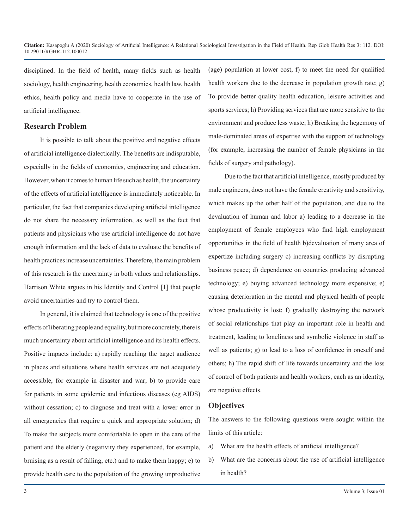disciplined. In the field of health, many fields such as health sociology, health engineering, health economics, health law, health ethics, health policy and media have to cooperate in the use of artificial intelligence.

#### **Research Problem**

It is possible to talk about the positive and negative effects of artificial intelligence dialectically. The benefits are indisputable, especially in the fields of economics, engineering and education. However, when it comes to human life such as health, the uncertainty of the effects of artificial intelligence is immediately noticeable. In particular, the fact that companies developing artificial intelligence do not share the necessary information, as well as the fact that patients and physicians who use artificial intelligence do not have enough information and the lack of data to evaluate the benefits of health practices increase uncertainties. Therefore, the main problem of this research is the uncertainty in both values and relationships. Harrison White argues in his Identity and Control [1] that people avoid uncertainties and try to control them.

In general, it is claimed that technology is one of the positive effects of liberating people and equality, but more concretely, there is much uncertainty about artificial intelligence and its health effects. Positive impacts include: a) rapidly reaching the target audience in places and situations where health services are not adequately accessible, for example in disaster and war; b) to provide care for patients in some epidemic and infectious diseases (eg AIDS) without cessation; c) to diagnose and treat with a lower error in all emergencies that require a quick and appropriate solution; d) To make the subjects more comfortable to open in the care of the patient and the elderly (negativity they experienced, for example, bruising as a result of falling, etc.) and to make them happy; e) to provide health care to the population of the growing unproductive

(age) population at lower cost, f) to meet the need for qualified health workers due to the decrease in population growth rate; g) To provide better quality health education, leisure activities and sports services; h) Providing services that are more sensitive to the environment and produce less waste; h) Breaking the hegemony of male-dominated areas of expertise with the support of technology (for example, increasing the number of female physicians in the fields of surgery and pathology).

Due to the fact that artificial intelligence, mostly produced by male engineers, does not have the female creativity and sensitivity, which makes up the other half of the population, and due to the devaluation of human and labor a) leading to a decrease in the employment of female employees who find high employment opportunities in the field of health b)devaluation of many area of expertize including surgery c) increasing conflicts by disrupting business peace; d) dependence on countries producing advanced technology; e) buying advanced technology more expensive; e) causing deterioration in the mental and physical health of people whose productivity is lost; f) gradually destroying the network of social relationships that play an important role in health and treatment, leading to loneliness and symbolic violence in staff as well as patients; g) to lead to a loss of confidence in oneself and others; h) The rapid shift of life towards uncertainty and the loss of control of both patients and health workers, each as an identity, are negative effects.

## **Objectives**

The answers to the following questions were sought within the limits of this article:

- a) What are the health effects of artificial intelligence?
- b) What are the concerns about the use of artificial intelligence in health?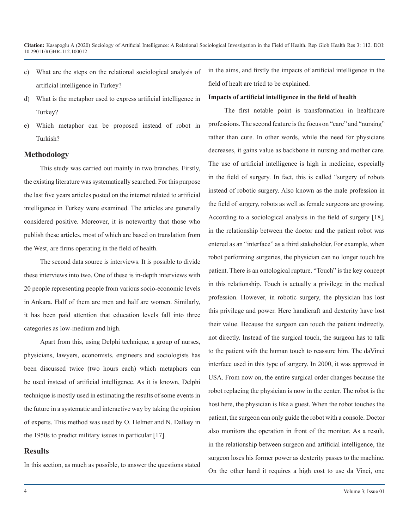- c) What are the steps on the relational sociological analysis of artificial intelligence in Turkey?
- d) What is the metaphor used to express artificial intelligence in Turkey?
- e) Which metaphor can be proposed instead of robot in Turkish?

#### **Methodology**

This study was carried out mainly in two branches. Firstly, the existing literature was systematically searched. For this purpose the last five years articles posted on the internet related to artificial intelligence in Turkey were examined. The articles are generally considered positive. Moreover, it is noteworthy that those who publish these articles, most of which are based on translation from the West, are firms operating in the field of health.

The second data source is interviews. It is possible to divide these interviews into two. One of these is in-depth interviews with 20 people representing people from various socio-economic levels in Ankara. Half of them are men and half are women. Similarly, it has been paid attention that education levels fall into three categories as low-medium and high.

Apart from this, using Delphi technique, a group of nurses, physicians, lawyers, economists, engineers and sociologists has been discussed twice (two hours each) which metaphors can be used instead of artificial intelligence. As it is known, Delphi technique is mostly used in estimating the results of some events in the future in a systematic and interactive way by taking the opinion of experts. This method was used by O. Helmer and N. Dalkey in the 1950s to predict military issues in particular [17].

#### **Results**

In this section, as much as possible, to answer the questions stated

in the aims, and firstly the impacts of artificial intelligence in the field of healt are tried to be explained.

#### **Impacts of artificial intelligence in the field of health**

The first notable point is transformation in healthcare professions. The second feature is the focus on "care" and "nursing" rather than cure. In other words, while the need for physicians decreases, it gains value as backbone in nursing and mother care. The use of artificial intelligence is high in medicine, especially in the field of surgery. In fact, this is called "surgery of robots instead of robotic surgery. Also known as the male profession in the field of surgery, robots as well as female surgeons are growing. According to a sociological analysis in the field of surgery [18], in the relationship between the doctor and the patient robot was entered as an "interface" as a third stakeholder. For example, when robot performing surgeries, the physician can no longer touch his patient. There is an ontological rupture. "Touch" is the key concept in this relationship. Touch is actually a privilege in the medical profession. However, in robotic surgery, the physician has lost this privilege and power. Here handicraft and dexterity have lost their value. Because the surgeon can touch the patient indirectly, not directly. Instead of the surgical touch, the surgeon has to talk to the patient with the human touch to reassure him. The daVinci interface used in this type of surgery. In 2000, it was approved in USA. From now on, the entire surgical order changes because the robot replacing the physician is now in the center. The robot is the host here, the physician is like a guest. When the robot touches the patient, the surgeon can only guide the robot with a console. Doctor also monitors the operation in front of the monitor. As a result, in the relationship between surgeon and artificial intelligence, the surgeon loses his former power as dexterity passes to the machine. On the other hand it requires a high cost to use da Vinci, one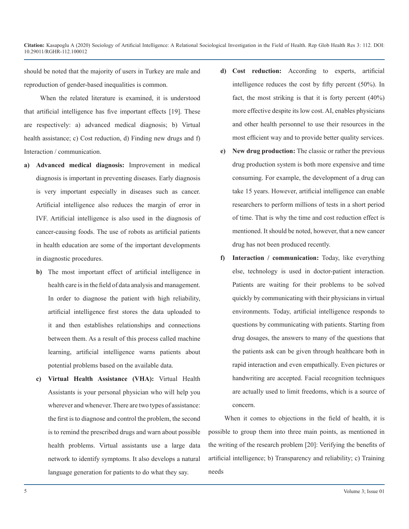should be noted that the majority of users in Turkey are male and reproduction of gender-based inequalities is common.

When the related literature is examined, it is understood that artificial intelligence has five important effects [19]. These are respectively: a) advanced medical diagnosis; b) Virtual health assistance; c) Cost reduction, d) Finding new drugs and f) Interaction / communication.

- **a) Advanced medical diagnosis:** Improvement in medical diagnosis is important in preventing diseases. Early diagnosis is very important especially in diseases such as cancer. Artificial intelligence also reduces the margin of error in IVF. Artificial intelligence is also used in the diagnosis of cancer-causing foods. The use of robots as artificial patients in health education are some of the important developments in diagnostic procedures.
	- **b)** The most important effect of artificial intelligence in health care is in the field of data analysis and management. In order to diagnose the patient with high reliability, artificial intelligence first stores the data uploaded to it and then establishes relationships and connections between them. As a result of this process called machine learning, artificial intelligence warns patients about potential problems based on the available data.
	- **c) Virtual Health Assistance (VHA):** Virtual Health Assistants is your personal physician who will help you wherever and whenever. There are two types of assistance: the first is to diagnose and control the problem, the second is to remind the prescribed drugs and warn about possible health problems. Virtual assistants use a large data network to identify symptoms. It also develops a natural language generation for patients to do what they say.
- **d) Cost reduction:** According to experts, artificial intelligence reduces the cost by fifty percent (50%). In fact, the most striking is that it is forty percent (40%) more effective despite its low cost. AI, enables physicians and other health personnel to use their resources in the most efficient way and to provide better quality services.
- **e) New drug production:** The classic or rather the previous drug production system is both more expensive and time consuming. For example, the development of a drug can take 15 years. However, artificial intelligence can enable researchers to perform millions of tests in a short period of time. That is why the time and cost reduction effect is mentioned. It should be noted, however, that a new cancer drug has not been produced recently.
- **f) Interaction / communication:** Today, like everything else, technology is used in doctor-patient interaction. Patients are waiting for their problems to be solved quickly by communicating with their physicians in virtual environments. Today, artificial intelligence responds to questions by communicating with patients. Starting from drug dosages, the answers to many of the questions that the patients ask can be given through healthcare both in rapid interaction and even empathically. Even pictures or handwriting are accepted. Facial recognition techniques are actually used to limit freedoms, which is a source of concern.

When it comes to objections in the field of health, it is possible to group them into three main points, as mentioned in the writing of the research problem [20]: Verifying the benefits of artificial intelligence; b) Transparency and reliability; c) Training needs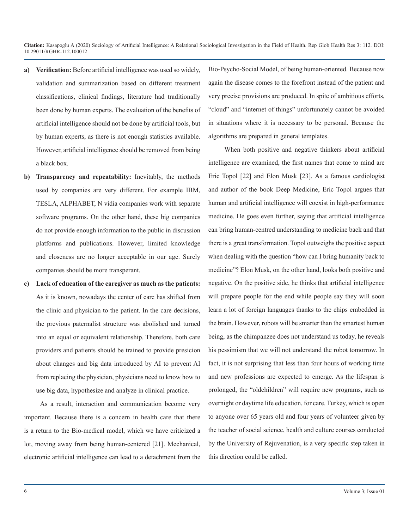- **a) Verification:** Before artificial intelligence was used so widely, validation and summarization based on different treatment classifications, clinical findings, literature had traditionally been done by human experts. The evaluation of the benefits of artificial intelligence should not be done by artificial tools, but by human experts, as there is not enough statistics available. However, artificial intelligence should be removed from being a black box.
- **b) Transparency and repeatability:** Inevitably, the methods used by companies are very different. For example IBM, TESLA, ALPHABET, N vidia companies work with separate software programs. On the other hand, these big companies do not provide enough information to the public in discussion platforms and publications. However, limited knowledge and closeness are no longer acceptable in our age. Surely companies should be more transperant.
- **c) Lack of education of the caregiver as much as the patients:** As it is known, nowadays the center of care has shifted from the clinic and physician to the patient. In the care decisions, the previous paternalist structure was abolished and turned into an equal or equivalent relationship. Therefore, both care providers and patients should be trained to provide presicion about changes and big data introduced by AI to prevent AI from replacing the physician, physicians need to know how to use big data, hypothesize and analyze in clinical practice.

As a result, interaction and communication become very important. Because there is a concern in health care that there is a return to the Bio-medical model, which we have criticized a lot, moving away from being human-centered [21]. Mechanical, electronic artificial intelligence can lead to a detachment from the Bio-Psycho-Social Model, of being human-oriented. Because now again the disease comes to the forefront instead of the patient and very precise provisions are produced. In spite of ambitious efforts, "cloud" and "internet of things" unfortunately cannot be avoided in situations where it is necessary to be personal. Because the algorithms are prepared in general templates.

When both positive and negative thinkers about artificial intelligence are examined, the first names that come to mind are Eric Topol [22] and Elon Musk [23]. As a famous cardiologist and author of the book Deep Medicine, Eric Topol argues that human and artificial intelligence will coexist in high-performance medicine. He goes even further, saying that artificial intelligence can bring human-centred understanding to medicine back and that there is a great transformation. Topol outweighs the positive aspect when dealing with the question "how can I bring humanity back to medicine"? Elon Musk, on the other hand, looks both positive and negative. On the positive side, he thinks that artificial intelligence will prepare people for the end while people say they will soon learn a lot of foreign languages thanks to the chips embedded in the brain. However, robots will be smarter than the smartest human being, as the chimpanzee does not understand us today, he reveals his pessimism that we will not understand the robot tomorrow. In fact, it is not surprising that less than four hours of working time and new professions are expected to emerge. As the lifespan is prolonged, the "oldchildren" will require new programs, such as overnight or daytime life education, for care. Turkey, which is open to anyone over 65 years old and four years of volunteer given by the teacher of social science, health and culture courses conducted by the University of Rejuvenation, is a very specific step taken in this direction could be called.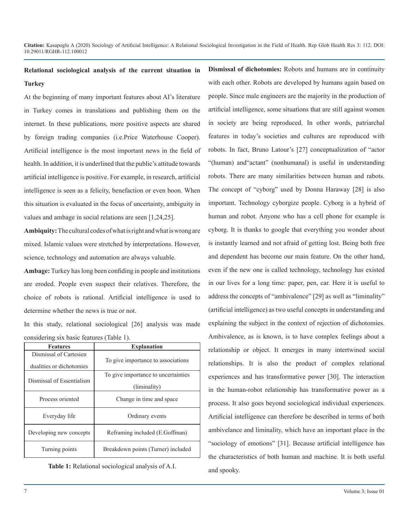## **Relational sociological analysis of the current situation in Turkey**

At the beginning of many important features about AI's literature in Turkey comes in translations and publishing them on the internet. In these publications, more positive aspects are shared by foreign trading companies (i.e.Price Waterhouse Cooper). Artificial intelligence is the most important news in the field of health. In addition, it is underlined that the public's attitude towards artificial intelligence is positive. For example, in research, artificial intelligence is seen as a felicity, benefaction or even boon. When this situation is evaluated in the focus of uncertainty, ambiguity in values and ambage in social relations are seen [1,24,25].

**Ambiquity:** The cultural codes of what is right and what is wrong are mixed. Islamic values were stretched by interpretations. However, science, technology and automation are always valuable.

**Ambage:** Turkey has long been confiding in people and institutions are eroded. People even suspect their relatives. Therefore, the choice of robots is rational. Artificial intelligence is used to determine whether the news is true or not.

In this study, relational sociological [26] analysis was made considering six basic features (Table 1).

| <b>Features</b>                                    | <b>Explanation</b>                  |
|----------------------------------------------------|-------------------------------------|
| Dismissal of Cartesien<br>dualities or dichotomies | To give importance to associations  |
|                                                    | To give importance to uncertainties |
| Dismissal of Essentialism                          | (liminality)                        |
| Process oriented                                   | Change in time and space            |
| Everyday life                                      | Ordinary events                     |
| Developing new concepts                            | Reframing included (E.Goffman)      |
| Turning points                                     | Breakdown points (Turner) included  |

**Table 1:** Relational sociological analysis of A.I.

**Dismissal of dichotomies:** Robots and humans are in continuity with each other. Robots are developed by humans again based on people. Since male engineers are the majority in the production of artificial intelligence, some situations that are still against women in society are being reproduced. In other words, patriarchal features in today's societies and cultures are reproduced with robots. In fact, Bruno Latour's [27] conceptualization of "actor "(human) and"actant" (nonhumanal) is useful in understanding robots. There are many similarities between human and rabots. The concept of "cyborg" used by Donna Haraway [28] is also important. Technology cyborgize people. Cyborg is a hybrid of human and robot. Anyone who has a cell phone for example is cyborg. It is thanks to google that everything you wonder about is instantly learned and not afraid of getting lost. Being both free and dependent has become our main feature. On the other hand, even if the new one is called technology, technology has existed in our lives for a long time: paper, pen, car. Here it is useful to address the concepts of "ambivalence" [29] as well as "liminality" (artificial intelligence) as two useful concepts in understanding and explaining the subject in the context of rejection of dichotomies. Ambivalence, as is known, is to have complex feelings about a relationship or object. It emerges in many intertwined social relationships. It is also the product of complex relational experiences and has transformative power [30]. The interaction in the human-robot relationship has transformative power as a process. It also goes beyond sociological individual experiences. Artificial intelligence can therefore be described in terms of both ambivelance and liminality, which have an important place in the "sociology of emotions" [31]. Because artificial intelligence has the characteristics of both human and machine. It is both useful and spooky.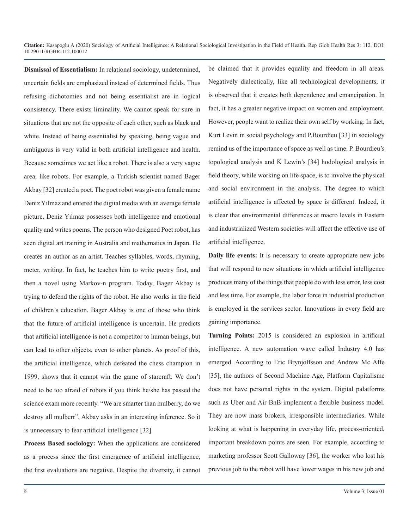**Dismissal of Essentialism:** In relational sociology, undetermined, uncertain fields are emphasized instead of determined fields. Thus refusing dichotomies and not being essentialist are in logical consistency. There exists liminality. We cannot speak for sure in situations that are not the opposite of each other, such as black and white. Instead of being essentialist by speaking, being vague and ambiguous is very valid in both artificial intelligence and health. Because sometimes we act like a robot. There is also a very vague area, like robots. For example, a Turkish scientist named Bager Akbay [32] created a poet. The poet robot was given a female name Deniz Yılmaz and entered the digital media with an average female picture. Deniz Yılmaz possesses both intelligence and emotional quality and writes poems. The person who designed Poet robot, has seen digital art training in Australia and mathematics in Japan. He creates an author as an artist. Teaches syllables, words, rhyming, meter, writing. In fact, he teaches him to write poetry first, and then a novel using Markov-n program. Today, Bager Akbay is trying to defend the rights of the robot. He also works in the field of children's education. Bager Akbay is one of those who think that the future of artificial intelligence is uncertain. He predicts that artificial intelligence is not a competitor to human beings, but can lead to other objects, even to other planets. As proof of this, the artificial intelligence, which defeated the chess champion in 1999, shows that it cannot win the game of starcraft. We don't need to be too afraid of robots if you think he/she has passed the science exam more recently. "We are smarter than mulberry, do we destroy all mulberr", Akbay asks in an interesting inference. So it is unnecessary to fear artificial intelligence [32].

**Process Based sociology:** When the applications are considered as a process since the first emergence of artificial intelligence, the first evaluations are negative. Despite the diversity, it cannot

be claimed that it provides equality and freedom in all areas. Negatively dialectically, like all technological developments, it is observed that it creates both dependence and emancipation. In fact, it has a greater negative impact on women and employment. However, people want to realize their own self by working. In fact, Kurt Levin in social psychology and P.Bourdieu [33] in sociology remind us of the importance of space as well as time. P. Bourdieu's topological analysis and K Lewin's [34] hodological analysis in field theory, while working on life space, is to involve the physical and social environment in the analysis. The degree to which artificial intelligence is affected by space is different. Indeed, it is clear that environmental differences at macro levels in Eastern and industrialized Western societies will affect the effective use of artificial intelligence.

**Daily life events:** It is necessary to create appropriate new jobs that will respond to new situations in which artificial intelligence produces many of the things that people do with less error, less cost and less time. For example, the labor force in industrial production is employed in the services sector. Innovations in every field are gaining importance.

**Turning Points:** 2015 is considered an explosion in artificial intelligence. A new automation wave called Industry 4.0 has emerged. According to Eric Brynjolfsson and Andrew Mc Affe [35], the authors of Second Machine Age, Platform Capitalisme does not have personal rights in the system. Digital palatforms such as Uber and Air BnB implement a flexible business model. They are now mass brokers, irresponsible intermediaries. While looking at what is happening in everyday life, process-oriented, important breakdown points are seen. For example, according to marketing professor Scott Galloway [36], the worker who lost his previous job to the robot will have lower wages in his new job and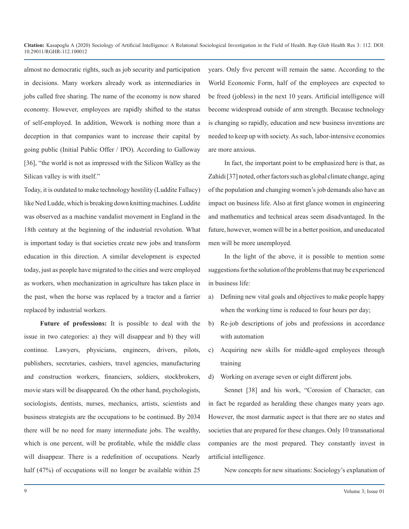almost no democratic rights, such as job security and participation in decisions. Many workers already work as intermediaries in jobs called free sharing. The name of the economy is now shared economy. However, employees are rapidly shifted to the status of self-employed. In addition, Wework is nothing more than a deception in that companies want to increase their capital by going public (Initial Public Offer / IPO). According to Galloway [36], "the world is not as impressed with the Silicon Walley as the Silican valley is with itself."

Today, it is outdated to make technology hostility (Luddite Fallacy) like Ned Ludde, which is breaking down knitting machines. Luddite was observed as a machine vandalist movement in England in the 18th century at the beginning of the industrial revolution. What is important today is that societies create new jobs and transform education in this direction. A similar development is expected today, just as people have migrated to the cities and were employed as workers, when mechanization in agriculture has taken place in the past, when the horse was replaced by a tractor and a farrier replaced by industrial workers.

**Future of professions:** It is possible to deal with the issue in two categories: a) they will disappear and b) they will continue. Lawyers, physicians, engineers, drivers, pilots, publishers, secretaries, cashiers, travel agencies, manufacturing and construction workers, financiers, soldiers, stockbrokers, movie stars will be disappeared. On the other hand, psychologists, sociologists, dentists, nurses, mechanics, artists, scientists and business strategists are the occupations to be continued. By 2034 there will be no need for many intermediate jobs. The wealthy, which is one percent, will be profitable, while the middle class will disappear. There is a redefinition of occupations. Nearly half (47%) of occupations will no longer be available within 25

years. Only five percent will remain the same. According to the World Economic Form, half of the employees are expected to be freed (jobless) in the next 10 years. Artificial intelligence will become widespread outside of arm strength. Because technology is changing so rapidly, education and new business inventions are needed to keep up with society. As such, labor-intensive economies are more anxious.

In fact, the important point to be emphasized here is that, as Zahidi [37] noted, other factors such as global climate change, aging of the population and changing women's job demands also have an impact on business life. Also at first glance women in engineering and mathematics and technical areas seem disadvantaged. In the future, however, women will be in a better position, and uneducated men will be more unemployed.

In the light of the above, it is possible to mention some suggestions for the solution of the problems that may be experienced in business life:

- a) Defining new vital goals and objectives to make people happy when the working time is reduced to four hours per day;
- b) Re-job descriptions of jobs and professions in accordance with automation
- c) Acquiring new skills for middle-aged employees through training
- d) Working on average seven or eight different jobs.

Sennet [38] and his work, "Corosion of Character, can in fact be regarded as heralding these changes many years ago. However, the most darmatic aspect is that there are no states and societies that are prepared for these changes. Only 10 transnational companies are the most prepared. They constantly invest in artificial intelligence.

New concepts for new situations: Sociology's explanation of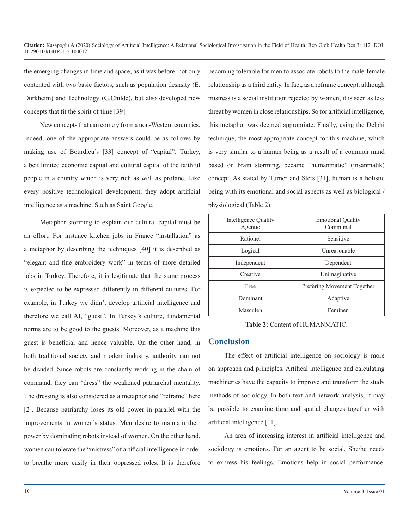the emerging changes in time and space, as it was before, not only contented with two basic factors, such as population desnsity (E. Durkheim) and Technology (G.Childe), but also developed new concepts that fit the spirit of time [39].

New concepts that can come y from a non-Western countries. Indeed, one of the appropriate answers could be as follows by making use of Bourdieu's [33] concept of "capital". Turkey, albeit limited economic capital and cultural capital of the faithful people in a country which is very rich as well as profane. Like every positive technological development, they adopt artificial intelligence as a machine. Such as Saint Google.

Metaphor storming to explain our cultural capital must be an effort. For instance kitchen jobs in France "installation" as a metaphor by describing the techniques [40] it is described as "elegant and fine embroidery work" in terms of more detailed jobs in Turkey. Therefore, it is legitimate that the same process is expected to be expressed differently in different cultures. For example, in Turkey we didn't develop artificial intelligence and therefore we call AI, "guest". In Turkey's culture, fundamental norms are to be good to the guests. Moreover, as a machine this guest is beneficial and hence valuable. On the other hand, in both traditional society and modern industry, authority can not be divided. Since robots are constantly working in the chain of command, they can "dress" the weakened patriarchal mentality. The dressing is also considered as a metaphor and "reframe" here [2]. Because patriarchy loses its old power in parallel with the improvements in women's status. Men desire to maintain their power by dominating robots instead of women. On the other hand, women can tolerate the "mistress" of artificial intelligence in order to breathe more easily in their oppressed roles. It is therefore

becoming tolerable for men to associate robots to the male-female relationship as a third entity. In fact, as a reframe concept, although mistress is a social institution rejected by women, it is seen as less threat by women in close relationships. So for artificial intelligence, this metaphor was deemed appropriate. Finally, using the Delphi technique, the most appropriate concept for this machine, which is very similar to a human being as a result of a common mind based on brain storming, became "humanmatic" (insanmatik) concept. As stated by Turner and Stets [31], human is a holistic being with its emotional and social aspects as well as biological / physiological (Table 2).

| Intelligence Quality<br>Agentic | <b>Emotional Quality</b><br>Communal |
|---------------------------------|--------------------------------------|
| Rationel                        | Sensitive                            |
| Logical                         | Unreasonable                         |
| Independent                     | Dependent                            |
| Creative                        | Unimaginative                        |
| Free                            | Prefering Movement Together          |
| Dominant                        | Adaptive                             |
| Masculen                        | Feminen                              |

**Table 2:** Content of HUMANMATIC.

### **Conclusion**

The effect of artificial intelligence on sociology is more on approach and principles. Artifical intelligence and calculating machineries have the capacity to improve and transform the study methods of sociology. In both text and network analysis, it may be possible to examine time and spatial changes together with artificial intelligence [11].

An area of increasing interest in artificial intelligence and sociology is emotions. For an agent to be social, She/he needs to express his feelings. Emotions help in social performance.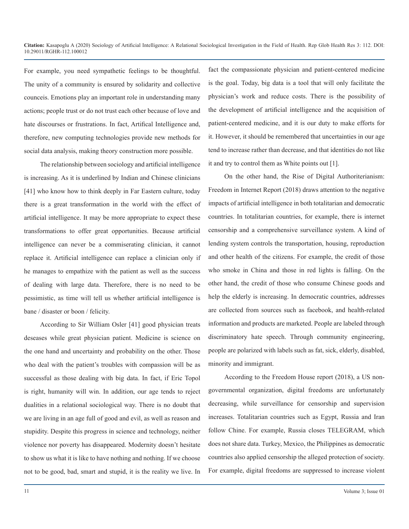For example, you need sympathetic feelings to be thoughtful. The unity of a community is ensured by solidarity and collective counceis. Emotions play an important role in understanding many actions; people trust or do not trust each other because of love and hate discourses or frustrations. In fact, Artifical Intelligence and, therefore, new computing technologies provide new methods for social data analysis, making theory construction more possible.

The relationship between sociology and artificial intelligence is increasing. As it is underlined by Indian and Chinese clinicians [41] who know how to think deeply in Far Eastern culture, today there is a great transformation in the world with the effect of artificial intelligence. It may be more appropriate to expect these transformations to offer great opportunities. Because artificial intelligence can never be a commiserating clinician, it cannot replace it. Artificial intelligence can replace a clinician only if he manages to empathize with the patient as well as the success of dealing with large data. Therefore, there is no need to be pessimistic, as time will tell us whether artificial intelligence is bane / disaster or boon / felicity.

According to Sir William Osler [41] good physician treats deseases while great physician patient. Medicine is science on the one hand and uncertainty and probability on the other. Those who deal with the patient's troubles with compassion will be as successful as those dealing with big data. In fact, if Eric Topol is right, humanity will win. In addition, our age tends to reject dualities in a relational sociological way. There is no doubt that we are living in an age full of good and evil, as well as reason and stupidity. Despite this progress in science and technology, neither violence nor poverty has disappeared. Modernity doesn't hesitate to show us what it is like to have nothing and nothing. If we choose not to be good, bad, smart and stupid, it is the reality we live. In fact the compassionate physician and patient-centered medicine is the goal. Today, big data is a tool that will only facilitate the physician's work and reduce costs. There is the possibility of the development of artificial intelligence and the acquisition of patient-centered medicine, and it is our duty to make efforts for it. However, it should be remembered that uncertainties in our age tend to increase rather than decrease, and that identities do not like it and try to control them as White points out [1].

On the other hand, the Rise of Digital Authoriterianism: Freedom in Internet Report (2018) draws attention to the negative impacts of artificial intelligence in both totalitarian and democratic countries. In totalitarian countries, for example, there is internet censorship and a comprehensive surveillance system. A kind of lending system controls the transportation, housing, reproduction and other health of the citizens. For example, the credit of those who smoke in China and those in red lights is falling. On the other hand, the credit of those who consume Chinese goods and help the elderly is increasing. In democratic countries, addresses are collected from sources such as facebook, and health-related information and products are marketed. People are labeled through discriminatory hate speech. Through community engineering, people are polarized with labels such as fat, sick, elderly, disabled, minority and immigrant.

According to the Freedom House report (2018), a US nongovernmental organization, digital freedoms are unfortunately decreasing, while surveillance for censorship and supervision increases. Totalitarian countries such as Egypt, Russia and Iran follow Chine. For example, Russia closes TELEGRAM, which does not share data. Turkey, Mexico, the Philippines as democratic countries also applied censorship the alleged protection of society. For example, digital freedoms are suppressed to increase violent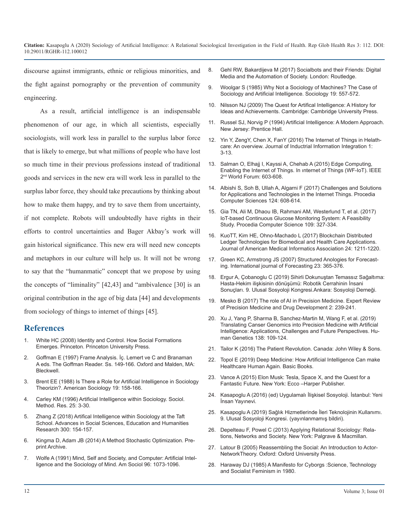discourse against immigrants, ethnic or religious minorities, and the fight against pornography or the prevention of community engineering.

As a result, artificial intelligence is an indispensable phenomenon of our age, in which all scientists, especially sociologists, will work less in parallel to the surplus labor force that is likely to emerge, but what millions of people who have lost so much time in their previous professions instead of traditional goods and services in the new era will work less in parallel to the surplus labor force, they should take precautions by thinking about how to make them happy, and try to save them from uncertainty, if not complete. Robots will undoubtedly have rights in their efforts to control uncertainties and Bager Akbay's work will gain historical significance. This new era will need new concepts and metaphors in our culture will help us. It will not be wrong to say that the "humanmatic" concept that we propose by using the concepts of "liminality" [42,43] and "ambivalence [30] is an original contribution in the age of big data [44] and developments from sociology of things to internet of things [45].

### **References**

- White HC (2008) Identity and Control. How Social Formations Emerges. Princeton. Princeton University Press.
- 2. [Goffman E \(1997\) Frame Analysis. İç. Lemert ve C and Branaman](https://cdclv.unlv.edu/archives/interactionism/goffman/lemert97.pdf)  A eds. The Goffman Reader. Ss. 149-166. Oxford and Malden, MA: [Bleckwell](https://cdclv.unlv.edu/archives/interactionism/goffman/lemert97.pdf).
- 3. [Brent EE \(1988\) Is There a Role for Artificial Intelligence in Sociology](https://link.springer.com/article/10.1007/BF02691809)  Theorizin?. American Sociology 19: 158-166.
- 4. [Carley KM \(1996\) Artificial Intelligence within Sociology. Sociol.](https://journals.sagepub.com/doi/10.1177/0049124196025001001)  Method. Res. 25: 3-30.
- 5. [Zhang Z \(2018\) Artifical Intelligence within Sociology at the Taft](https://www.atlantis-press.com/proceedings/erss-18/55912702)  School. Advances in Social Sciences, Education and Humanities [Research 300: 154-157.](https://www.atlantis-press.com/proceedings/erss-18/55912702)
- 6. [Kingma D, Adam JB \(2014\) A Method Stochastic Optimization. Pre](https://arxiv.org/abs/1412.6980)print Archive.
- 7. [Wolfe A \(1991\) Mind, Self and Society, and Computer: Artificial Intel](https://www.journals.uchicago.edu/doi/abs/10.1086/229649)ligence and the Sociology of Mind. Am Sociol 96: 1073-1096.
- 8. [Gehl RW, Bakardijeva M \(2017\) Socialbots and their Friends: Digital](https://www.routledge.com/Socialbots-and-Their-Friends-Digital-Media-and-the-Automation-of-Sociality/Gehl-Bakardjieva/p/book/9781138639409)  Media and the Automation of Society. London: Routledge.
- 9. [Woolgar S \(1985\) Why Not a Sociology of Machines? The Case of](https://journals.sagepub.com/doi/10.1177/0038038585019004005)  Sociology and Artificial Intelligence. Sociology 19: 557-572[.](https://journals.sagepub.com/doi/10.1177/0038038585019004005)
- 10. [Nilsson NJ \(2009\) The Quest for Artifical Intelligence: A History for](http://freecomputerbooks.com/The-Quest-for-Artificial-Intelligence.html)  Ideas and Achievements. Cambridge: Cambridge University Press.
- 11. [Russel SJ, Norvig P \(1994\) Artificial Intelligence: A Modern Approach.](https://www.cin.ufpe.br/~tfl2/artificial-intelligence-modern-approach.9780131038059.25368.pdf)  New Jersey: Prentice Hall.
- 12. [Yin Y, ZengY, Chen X, FanY \(2016\) The Internet of Things in Helath](https://www.sciencedirect.com/science/article/abs/pii/S2452414X16000066)care: An overview. Journal of Inductrial Information Integration 1: [3-13.](https://www.sciencedirect.com/science/article/abs/pii/S2452414X16000066)
- 13. Salman O, Elhajj I, Kayssi A, Chehab A (2015) Edge Computing, Enabling the Internet of Things. In ınternet of Things (WF-IoT). IEEE 2<sup>nd</sup> World Forum: 603-608.
- 14. [Albishi S, Soh B, Ullah A, Algarni F \(2017\) Challenges and Solutions](https://www.sciencedirect.com/science/article/pii/S1877050917329642)  for Applications and Technologies in the Internet Things. Procedia [Computer Sciences 124: 608-614](https://www.sciencedirect.com/science/article/pii/S1877050917329642).
- 15. [Gia TN, Ali M, Dhaou IB, Rahmani AM, Westerlund T, et al. \(2017\)](https://www.sciencedirect.com/science/article/pii/S1877050917310281)  IoT-based Continuous Glucose Monitoring System: A Feasibility [Study. Procedia Computer Science 109: 327-334](https://www.sciencedirect.com/science/article/pii/S1877050917310281).
- 16. [KuoTT, Kim HE, Ohno-Machado L \(2017\) Blockchain Distributed](https://www.ncbi.nlm.nih.gov/pubmed/29016974)  Ledger Technologies for Biomedical and Health Care Applications. [Journal of American Medical Informatics Association 24: 1211-1220.](https://www.ncbi.nlm.nih.gov/pubmed/29016974)
- 17. [Green KC, Armstrong JS \(2007\) Structured Anologies for Forecast](https://ideas.repec.org/a/eee/intfor/v23y2007i3p365-376.html)ing. International journal of Forecasting 23: 365-376.
- 18. Ergur A, Çobanoglu C (2019) Sihirli Dokunuştan Temassız Sağaltıma: Hasta-Hekim ilişkisinin dönüşümü: Robotik Cerrahinin İnsani Sonuçları. 9. Ulusal Sosyoloji Kongresi.Ankara: Sosyoloji Derneği.
- 19. [Mesko B \(2017\) The role of AI in Precision Medicine. Expert Review](https://www.tandfonline.com/doi/full/10.1080/23808993.2017.1380516)  of Precision Medicine and Drug Development 2: 239-241.
- 20. [Xu J, Yang P, Sharma B, Sanchez-Martin M, Wang F, et al. \(2019\)](https://www.ncbi.nlm.nih.gov/pubmed/30671672)  Translating Canser Genomics into Precision Medicine with Artificial [Intelligence: Applications, Challenges and Future Perspectives. Hu](https://www.ncbi.nlm.nih.gov/pubmed/30671672)[man Genetics 138: 109-124.](https://www.ncbi.nlm.nih.gov/pubmed/30671672)
- 21. [Tailor K \(2016\) The Patient Revolution. Canada: John Wiley & Sons.](https://www.wiley.com/en-us/The+Patient+Revolution%3A+How+Big+Data+and+Analytics+Are+Transforming+the+Health+Care+Experience-p-9781119130000)
- 22. [Topol E \(2019\) Deep Medicine: How Artificial Intelligence Can make](https://www.amazon.com/Deep-Medicine-Artificial-Intelligence-Healthcare/dp/1541644638)  Healthcare Human Again. Basic Books.
- 23. [Vance A \(2015\) Elon Musk: Tesla, Space X, and the Quest for a](https://www.amazon.com/Elon-Musk-SpaceX-Fantastic-Future/dp/006230125X)  [Fantastic Future. New York: Ecco –Harper Publisher](https://link.springer.com/article/10.1007/BF02691809).
- 24. [Kasapoglu A \(2016\) \(ed\) Uygulamalı İlişkisel Sosyoloji. İstanbul: Yeni](https://yeniinsanyayinevi.com/kitaplarimiz/uygulamali-iliskisel-sosyoloji/)  [İnsan Yayınevi](https://journals.sagepub.com/doi/10.1177/0049124196025001001).
- 25. Kasapoglu A (2019) Sağlık Hizmetlerinde İleri Teknolojinin Kullanımı. [9. Ulusal Sosyoloji Kongresi. \(yayınlanmamış bildiri\).](https://www.atlantis-press.com/proceedings/erss-18/55912702)
- 26. [Depelteau F, Powel C \(2013\) Applying Relational Sociology: Rela](https://www.palgrave.com/gp/book/9781137379917)tions, Networks and Society. New York: Palgrave & Macmillan.
- 27. [Latour B \(2005\) Reassembling the Social: An Introduction to Actor-](https://arxiv.org/abs/1412.6980)NetworkTheory. Oxford: Oxford University Press.
- 28. [Haraway DJ \(1985\) A Manifesto for Cyborgs :Science, Technology](https://www.journals.uchicago.edu/doi/abs/10.1086/229649)  and Socialist Feminism in 1980.